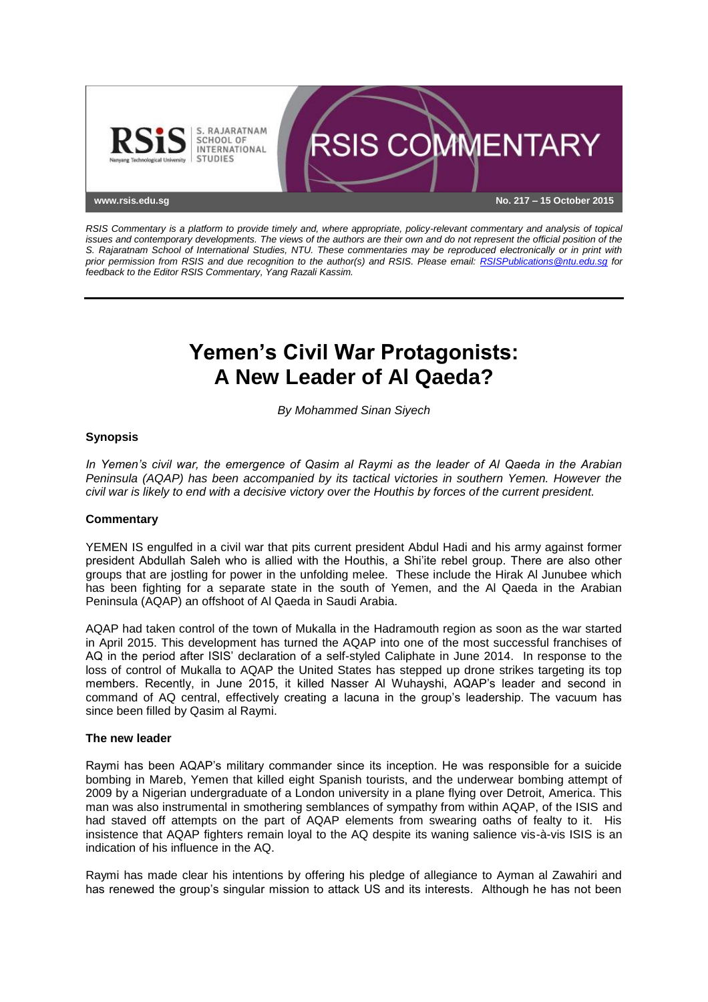

*RSIS Commentary is a platform to provide timely and, where appropriate, policy-relevant commentary and analysis of topical issues and contemporary developments. The views of the authors are their own and do not represent the official position of the S. Rajaratnam School of International Studies, NTU. These commentaries may be reproduced electronically or in print with prior permission from RSIS and due recognition to the author(s) and RSIS. Please email: [RSISPublications@ntu.edu.sg](mailto:RSISPublications@ntu.edu.sg) for feedback to the Editor RSIS Commentary, Yang Razali Kassim.*

# **Yemen's Civil War Protagonists: A New Leader of Al Qaeda?**

*By Mohammed Sinan Siyech*

# **Synopsis**

*In Yemen's civil war, the emergence of Qasim al Raymi as the leader of Al Qaeda in the Arabian Peninsula (AQAP) has been accompanied by its tactical victories in southern Yemen. However the civil war is likely to end with a decisive victory over the Houthis by forces of the current president.*

#### **Commentary**

YEMEN IS engulfed in a civil war that pits current president Abdul Hadi and his army against former president Abdullah Saleh who is allied with the Houthis, a Shi'ite rebel group. There are also other groups that are jostling for power in the unfolding melee. These include the Hirak Al Junubee which has been fighting for a separate state in the south of Yemen, and the Al Qaeda in the Arabian Peninsula (AQAP) an offshoot of Al Qaeda in Saudi Arabia.

AQAP had taken control of the town of Mukalla in the Hadramouth region as soon as the war started in April 2015. This development has turned the AQAP into one of the most successful franchises of AQ in the period after ISIS' declaration of a self-styled Caliphate in June 2014. In response to the loss of control of Mukalla to AQAP the United States has stepped up drone strikes targeting its top members. Recently, in June 2015, it killed Nasser Al Wuhayshi, AQAP's leader and second in command of AQ central, effectively creating a lacuna in the group's leadership. The vacuum has since been filled by Qasim al Raymi.

#### **The new leader**

Raymi has been AQAP's military commander since its inception. He was responsible for a suicide bombing in Mareb, Yemen that killed eight Spanish tourists, and the underwear bombing attempt of 2009 by a Nigerian undergraduate of a London university in a plane flying over Detroit, America. This man was also instrumental in smothering semblances of sympathy from within AQAP, of the ISIS and had staved off attempts on the part of AQAP elements from swearing oaths of fealty to it. His insistence that AQAP fighters remain loyal to the AQ despite its waning salience vis-à-vis ISIS is an indication of his influence in the AQ.

Raymi has made clear his intentions by offering his pledge of allegiance to Ayman al Zawahiri and has renewed the group's singular mission to attack US and its interests. Although he has not been